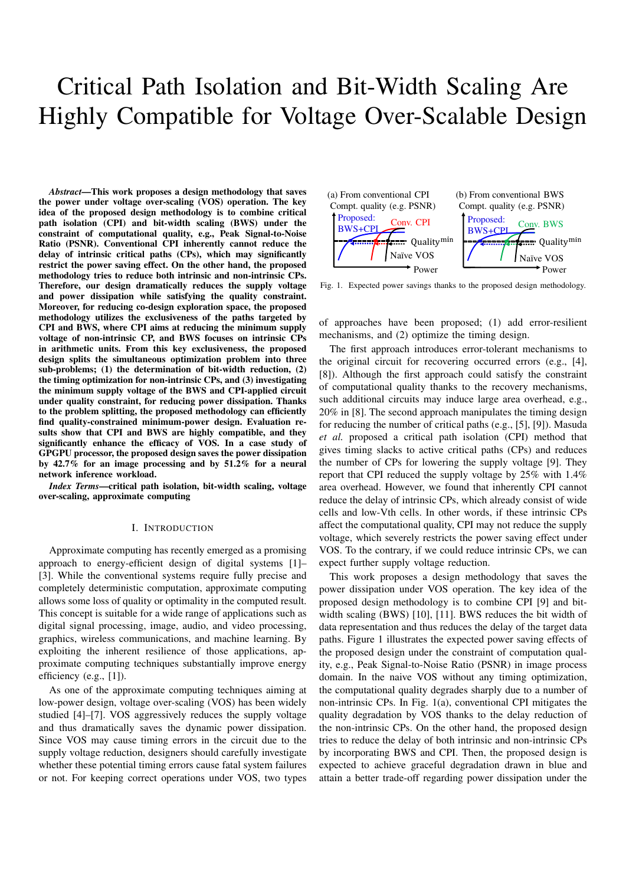# Critical Path Isolation and Bit-Width Scaling Are Highly Compatible for Voltage Over-Scalable Design

*Abstract*—This work proposes a design methodology that saves the power under voltage over-scaling (VOS) operation. The key idea of the proposed design methodology is to combine critical path isolation (CPI) and bit-width scaling (BWS) under the constraint of computational quality, e.g., Peak Signal-to-Noise Ratio (PSNR). Conventional CPI inherently cannot reduce the delay of intrinsic critical paths (CPs), which may significantly restrict the power saving effect. On the other hand, the proposed methodology tries to reduce both intrinsic and non-intrinsic CPs. Therefore, our design dramatically reduces the supply voltage and power dissipation while satisfying the quality constraint. Moreover, for reducing co-design exploration space, the proposed methodology utilizes the exclusiveness of the paths targeted by CPI and BWS, where CPI aims at reducing the minimum supply voltage of non-intrinsic CP, and BWS focuses on intrinsic CPs in arithmetic units. From this key exclusiveness, the proposed design splits the simultaneous optimization problem into three sub-problems; (1) the determination of bit-width reduction, (2) the timing optimization for non-intrinsic CPs, and (3) investigating the minimum supply voltage of the BWS and CPI-applied circuit under quality constraint, for reducing power dissipation. Thanks to the problem splitting, the proposed methodology can efficiently find quality-constrained minimum-power design. Evaluation results show that CPI and BWS are highly compatible, and they significantly enhance the efficacy of VOS. In a case study of GPGPU processor, the proposed design saves the power dissipation by 42.7% for an image processing and by 51.2% for a neural network inference workload.

*Index Terms*—critical path isolation, bit-width scaling, voltage over-scaling, approximate computing

## I. INTRODUCTION

Approximate computing has recently emerged as a promising approach to energy-efficient design of digital systems [1]– [3]. While the conventional systems require fully precise and completely deterministic computation, approximate computing allows some loss of quality or optimality in the computed result. This concept is suitable for a wide range of applications such as digital signal processing, image, audio, and video processing, graphics, wireless communications, and machine learning. By exploiting the inherent resilience of those applications, approximate computing techniques substantially improve energy efficiency (e.g., [1]).

As one of the approximate computing techniques aiming at low-power design, voltage over-scaling (VOS) has been widely studied [4]–[7]. VOS aggressively reduces the supply voltage and thus dramatically saves the dynamic power dissipation. Since VOS may cause timing errors in the circuit due to the supply voltage reduction, designers should carefully investigate whether these potential timing errors cause fatal system failures or not. For keeping correct operations under VOS, two types



Fig. 1. Expected power savings thanks to the proposed design methodology.

of approaches have been proposed; (1) add error-resilient mechanisms, and (2) optimize the timing design.

The first approach introduces error-tolerant mechanisms to the original circuit for recovering occurred errors (e.g., [4], [8]). Although the first approach could satisfy the constraint of computational quality thanks to the recovery mechanisms, such additional circuits may induce large area overhead, e.g., 20% in [8]. The second approach manipulates the timing design for reducing the number of critical paths (e.g., [5], [9]). Masuda *et al.* proposed a critical path isolation (CPI) method that gives timing slacks to active critical paths (CPs) and reduces the number of CPs for lowering the supply voltage [9]. They report that CPI reduced the supply voltage by 25% with 1.4% area overhead. However, we found that inherently CPI cannot reduce the delay of intrinsic CPs, which already consist of wide cells and low-Vth cells. In other words, if these intrinsic CPs affect the computational quality, CPI may not reduce the supply voltage, which severely restricts the power saving effect under VOS. To the contrary, if we could reduce intrinsic CPs, we can expect further supply voltage reduction.

This work proposes a design methodology that saves the power dissipation under VOS operation. The key idea of the proposed design methodology is to combine CPI [9] and bitwidth scaling (BWS) [10], [11]. BWS reduces the bit width of data representation and thus reduces the delay of the target data paths. Figure 1 illustrates the expected power saving effects of the proposed design under the constraint of computation quality, e.g., Peak Signal-to-Noise Ratio (PSNR) in image process domain. In the naive VOS without any timing optimization, the computational quality degrades sharply due to a number of non-intrinsic CPs. In Fig. 1(a), conventional CPI mitigates the quality degradation by VOS thanks to the delay reduction of the non-intrinsic CPs. On the other hand, the proposed design tries to reduce the delay of both intrinsic and non-intrinsic CPs by incorporating BWS and CPI. Then, the proposed design is expected to achieve graceful degradation drawn in blue and attain a better trade-off regarding power dissipation under the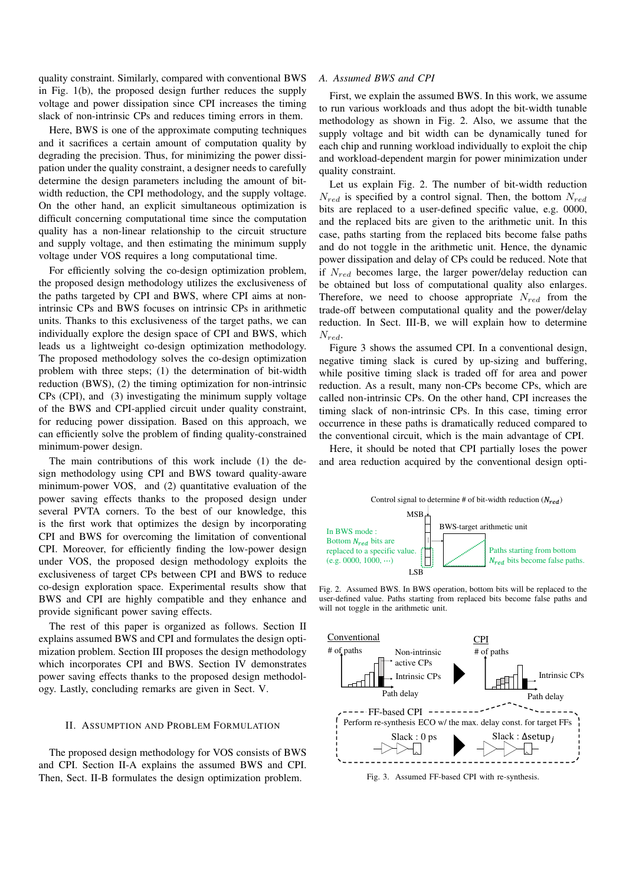quality constraint. Similarly, compared with conventional BWS in Fig. 1(b), the proposed design further reduces the supply voltage and power dissipation since CPI increases the timing slack of non-intrinsic CPs and reduces timing errors in them.

Here, BWS is one of the approximate computing techniques and it sacrifices a certain amount of computation quality by degrading the precision. Thus, for minimizing the power dissipation under the quality constraint, a designer needs to carefully determine the design parameters including the amount of bitwidth reduction, the CPI methodology, and the supply voltage. On the other hand, an explicit simultaneous optimization is difficult concerning computational time since the computation quality has a non-linear relationship to the circuit structure and supply voltage, and then estimating the minimum supply voltage under VOS requires a long computational time.

For efficiently solving the co-design optimization problem, the proposed design methodology utilizes the exclusiveness of the paths targeted by CPI and BWS, where CPI aims at nonintrinsic CPs and BWS focuses on intrinsic CPs in arithmetic units. Thanks to this exclusiveness of the target paths, we can individually explore the design space of CPI and BWS, which leads us a lightweight co-design optimization methodology. The proposed methodology solves the co-design optimization problem with three steps; (1) the determination of bit-width reduction (BWS), (2) the timing optimization for non-intrinsic CPs (CPI), and (3) investigating the minimum supply voltage of the BWS and CPI-applied circuit under quality constraint, for reducing power dissipation. Based on this approach, we can efficiently solve the problem of finding quality-constrained minimum-power design.

The main contributions of this work include (1) the design methodology using CPI and BWS toward quality-aware minimum-power VOS, and (2) quantitative evaluation of the power saving effects thanks to the proposed design under several PVTA corners. To the best of our knowledge, this is the first work that optimizes the design by incorporating CPI and BWS for overcoming the limitation of conventional CPI. Moreover, for efficiently finding the low-power design under VOS, the proposed design methodology exploits the exclusiveness of target CPs between CPI and BWS to reduce co-design exploration space. Experimental results show that BWS and CPI are highly compatible and they enhance and provide significant power saving effects.

The rest of this paper is organized as follows. Section II explains assumed BWS and CPI and formulates the design optimization problem. Section III proposes the design methodology which incorporates CPI and BWS. Section IV demonstrates power saving effects thanks to the proposed design methodology. Lastly, concluding remarks are given in Sect. V.

## II. ASSUMPTION AND PROBLEM FORMULATION

The proposed design methodology for VOS consists of BWS and CPI. Section II-A explains the assumed BWS and CPI. Then, Sect. II-B formulates the design optimization problem.

#### *A. Assumed BWS and CPI*

First, we explain the assumed BWS. In this work, we assume to run various workloads and thus adopt the bit-width tunable methodology as shown in Fig. 2. Also, we assume that the supply voltage and bit width can be dynamically tuned for each chip and running workload individually to exploit the chip and workload-dependent margin for power minimization under quality constraint.

Let us explain Fig. 2. The number of bit-width reduction  $N_{red}$  is specified by a control signal. Then, the bottom  $N_{red}$ bits are replaced to a user-defined specific value, e.g. 0000, and the replaced bits are given to the arithmetic unit. In this case, paths starting from the replaced bits become false paths and do not toggle in the arithmetic unit. Hence, the dynamic power dissipation and delay of CPs could be reduced. Note that if  $N_{red}$  becomes large, the larger power/delay reduction can be obtained but loss of computational quality also enlarges. Therefore, we need to choose appropriate  $N_{red}$  from the trade-off between computational quality and the power/delay reduction. In Sect. III-B, we will explain how to determine  $N_{red}$ .

Figure 3 shows the assumed CPI. In a conventional design, negative timing slack is cured by up-sizing and buffering, while positive timing slack is traded off for area and power reduction. As a result, many non-CPs become CPs, which are called non-intrinsic CPs. On the other hand, CPI increases the timing slack of non-intrinsic CPs. In this case, timing error occurrence in these paths is dramatically reduced compared to the conventional circuit, which is the main advantage of CPI.

Here, it should be noted that CPI partially loses the power and area reduction acquired by the conventional design opti-



Fig. 2. Assumed BWS. In BWS operation, bottom bits will be replaced to the user-defined value. Paths starting from replaced bits become false paths and will not toggle in the arithmetic unit.



Fig. 3. Assumed FF-based CPI with re-synthesis.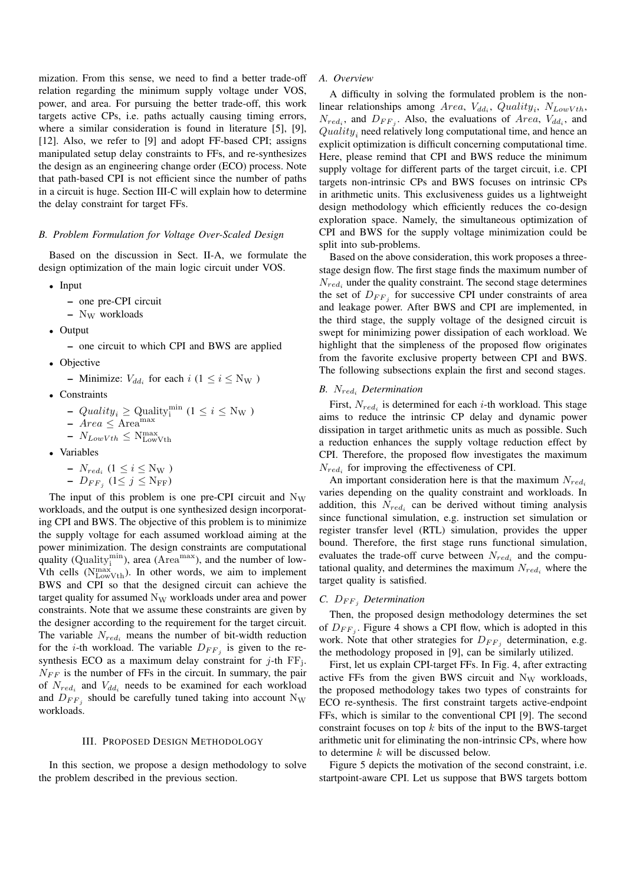mization. From this sense, we need to find a better trade-off relation regarding the minimum supply voltage under VOS, power, and area. For pursuing the better trade-off, this work targets active CPs, i.e. paths actually causing timing errors, where a similar consideration is found in literature [5], [9], [12]. Also, we refer to [9] and adopt FF-based CPI; assigns manipulated setup delay constraints to FFs, and re-synthesizes the design as an engineering change order (ECO) process. Note that path-based CPI is not efficient since the number of paths in a circuit is huge. Section III-C will explain how to determine the delay constraint for target FFs.

### *B. Problem Formulation for Voltage Over-Scaled Design*

Based on the discussion in Sect. II-A, we formulate the design optimization of the main logic circuit under VOS.

- Input
	- one pre-CPI circuit
	- $-$  N<sub>W</sub> workloads
- Output
	- one circuit to which CPI and BWS are applied
- Objective
	- Minimize:  $V_{dd_i}$  for each  $i$  ( $1 \le i \le N_W$ )
- Constraints
	- $Quality_i \ge$  Quality<sup>min</sup>  $(1 \le i \le N_W)$
	- $-$  Area  $\leq$  Area<sup>max</sup>
	- $N_{LowVth} \leq N_{LowVth}^{max}$
- Variables
	- $N_{red_i} (1 \le i \le N_W)$  $-D_{FF_j}$   $(1 \le j \le N_{FF})$

The input of this problem is one pre-CPI circuit and  $N_W$ workloads, and the output is one synthesized design incorporating CPI and BWS. The objective of this problem is to minimize the supply voltage for each assumed workload aiming at the power minimization. The design constraints are computational quality (Quality $_{i}^{min}$ ), area (Area<sup>max</sup>), and the number of low-Vth cells  $(N_{LowVth}^{max})$ . In other words, we aim to implement BWS and CPI so that the designed circuit can achieve the target quality for assumed  $N_W$  workloads under area and power constraints. Note that we assume these constraints are given by the designer according to the requirement for the target circuit. The variable  $N_{red_i}$  means the number of bit-width reduction for the *i*-th workload. The variable  $D_{FF_j}$  is given to the resynthesis ECO as a maximum delay constraint for  $j$ -th  $FF_j$ .  $N_{FF}$  is the number of FFs in the circuit. In summary, the pair of  $N_{red_i}$  and  $V_{dd_i}$  needs to be examined for each workload and  $D_{FF_j}$  should be carefully tuned taking into account N<sub>W</sub> workloads.

# III. PROPOSED DESIGN METHODOLOGY

In this section, we propose a design methodology to solve the problem described in the previous section.

#### *A. Overview*

A difficulty in solving the formulated problem is the nonlinear relationships among Area,  $V_{dd_i}$ ,  $Quality_i$ ,  $N_{LowVth}$ ,  $N_{red_i}$ , and  $D_{FF_j}$ . Also, the evaluations of Area,  $V_{dd_i}$ , and  $Quality<sub>i</sub>$  need relatively long computational time, and hence an explicit optimization is difficult concerning computational time. Here, please remind that CPI and BWS reduce the minimum supply voltage for different parts of the target circuit, i.e. CPI targets non-intrinsic CPs and BWS focuses on intrinsic CPs in arithmetic units. This exclusiveness guides us a lightweight design methodology which efficiently reduces the co-design exploration space. Namely, the simultaneous optimization of CPI and BWS for the supply voltage minimization could be split into sub-problems.

Based on the above consideration, this work proposes a threestage design flow. The first stage finds the maximum number of  $N_{red_i}$  under the quality constraint. The second stage determines the set of  $D_{FF_j}$  for successive CPI under constraints of area and leakage power. After BWS and CPI are implemented, in the third stage, the supply voltage of the designed circuit is swept for minimizing power dissipation of each workload. We highlight that the simpleness of the proposed flow originates from the favorite exclusive property between CPI and BWS. The following subsections explain the first and second stages.

# *B.* Nred<sup>i</sup> *Determination*

First,  $N_{red_i}$  is determined for each *i*-th workload. This stage aims to reduce the intrinsic CP delay and dynamic power dissipation in target arithmetic units as much as possible. Such a reduction enhances the supply voltage reduction effect by CPI. Therefore, the proposed flow investigates the maximum  $N_{red_i}$  for improving the effectiveness of CPI.

An important consideration here is that the maximum  $N_{redi}$ varies depending on the quality constraint and workloads. In addition, this  $N_{red_i}$  can be derived without timing analysis since functional simulation, e.g. instruction set simulation or register transfer level (RTL) simulation, provides the upper bound. Therefore, the first stage runs functional simulation, evaluates the trade-off curve between  $N_{red_i}$  and the computational quality, and determines the maximum  $N_{red_i}$  where the target quality is satisfied.

# *C.*  $D_{FF}$ *, Determination*

Then, the proposed design methodology determines the set of  $D_{FF_j}$ . Figure 4 shows a CPI flow, which is adopted in this work. Note that other strategies for  $D_{FF_j}$  determination, e.g. the methodology proposed in [9], can be similarly utilized.

First, let us explain CPI-target FFs. In Fig. 4, after extracting active FFs from the given BWS circuit and  $N_W$  workloads, the proposed methodology takes two types of constraints for ECO re-synthesis. The first constraint targets active-endpoint FFs, which is similar to the conventional CPI [9]. The second constraint focuses on top  $k$  bits of the input to the BWS-target arithmetic unit for eliminating the non-intrinsic CPs, where how to determine  $k$  will be discussed below.

Figure 5 depicts the motivation of the second constraint, i.e. startpoint-aware CPI. Let us suppose that BWS targets bottom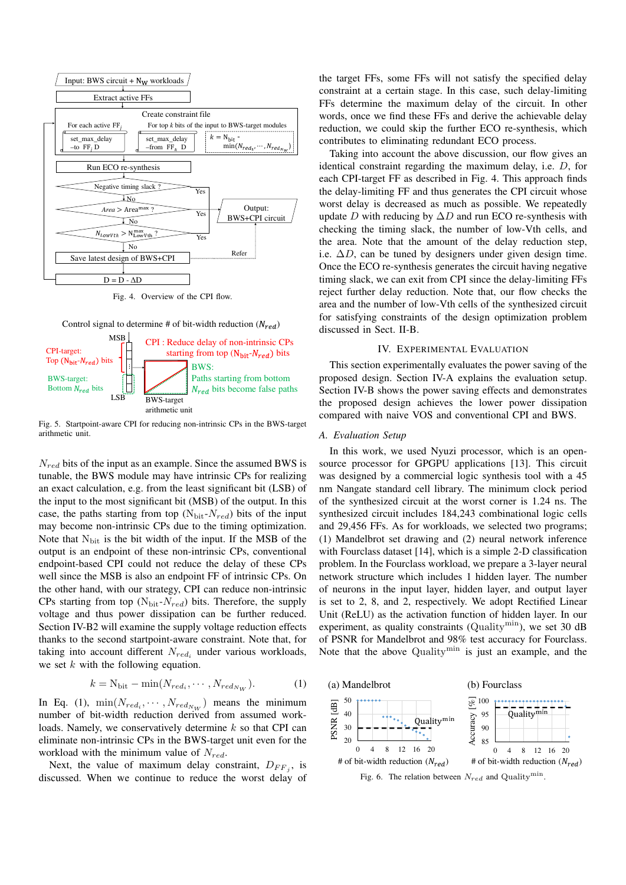

Fig. 4. Overview of the CPI flow.





Fig. 5. Startpoint-aware CPI for reducing non-intrinsic CPs in the BWS-target arithmetic unit.

 $N_{red}$  bits of the input as an example. Since the assumed BWS is tunable, the BWS module may have intrinsic CPs for realizing an exact calculation, e.g. from the least significant bit (LSB) of the input to the most significant bit (MSB) of the output. In this case, the paths starting from top  $(N_{\text{bit}}-N_{\text{red}})$  bits of the input may become non-intrinsic CPs due to the timing optimization. Note that  $N_{\text{bit}}$  is the bit width of the input. If the MSB of the output is an endpoint of these non-intrinsic CPs, conventional endpoint-based CPI could not reduce the delay of these CPs well since the MSB is also an endpoint FF of intrinsic CPs. On the other hand, with our strategy, CPI can reduce non-intrinsic CPs starting from top ( $N<sub>bit</sub>-N<sub>red</sub>$ ) bits. Therefore, the supply voltage and thus power dissipation can be further reduced. Section IV-B2 will examine the supply voltage reduction effects thanks to the second startpoint-aware constraint. Note that, for taking into account different  $N_{red_i}$  under various workloads, we set  $k$  with the following equation.

$$
k = N_{\text{bit}} - \min(N_{red_i}, \cdots, N_{red_{N_W}}). \tag{1}
$$

In Eq. (1),  $\min(N_{red_i}, \cdots, N_{red_{N_W}})$  means the minimum number of bit-width reduction derived from assumed workloads. Namely, we conservatively determine  $k$  so that CPI can eliminate non-intrinsic CPs in the BWS-target unit even for the workload with the minimum value of  $N_{red}$ .

Next, the value of maximum delay constraint,  $D_{FF_j}$ , is discussed. When we continue to reduce the worst delay of

the target FFs, some FFs will not satisfy the specified delay constraint at a certain stage. In this case, such delay-limiting FFs determine the maximum delay of the circuit. In other words, once we find these FFs and derive the achievable delay reduction, we could skip the further ECO re-synthesis, which contributes to eliminating redundant ECO process.

Taking into account the above discussion, our flow gives an identical constraint regarding the maximum delay, i.e. D, for each CPI-target FF as described in Fig. 4. This approach finds the delay-limiting FF and thus generates the CPI circuit whose worst delay is decreased as much as possible. We repeatedly update D with reducing by  $\Delta D$  and run ECO re-synthesis with checking the timing slack, the number of low-Vth cells, and the area. Note that the amount of the delay reduction step, i.e.  $\Delta D$ , can be tuned by designers under given design time. Once the ECO re-synthesis generates the circuit having negative timing slack, we can exit from CPI since the delay-limiting FFs reject further delay reduction. Note that, our flow checks the area and the number of low-Vth cells of the synthesized circuit for satisfying constraints of the design optimization problem discussed in Sect. II-B.

## IV. EXPERIMENTAL EVALUATION

This section experimentally evaluates the power saving of the proposed design. Section IV-A explains the evaluation setup. Section IV-B shows the power saving effects and demonstrates the proposed design achieves the lower power dissipation compared with naive VOS and conventional CPI and BWS.

#### *A. Evaluation Setup*

In this work, we used Nyuzi processor, which is an opensource processor for GPGPU applications [13]. This circuit was designed by a commercial logic synthesis tool with a 45 nm Nangate standard cell library. The minimum clock period of the synthesized circuit at the worst corner is 1.24 ns. The synthesized circuit includes 184,243 combinational logic cells and 29,456 FFs. As for workloads, we selected two programs; (1) Mandelbrot set drawing and (2) neural network inference with Fourclass dataset [14], which is a simple 2-D classification problem. In the Fourclass workload, we prepare a 3-layer neural network structure which includes 1 hidden layer. The number of neurons in the input layer, hidden layer, and output layer is set to 2, 8, and 2, respectively. We adopt Rectified Linear Unit (ReLU) as the activation function of hidden layer. In our experiment, as quality constraints (Quality<sup>min</sup>), we set 30 dB of PSNR for Mandelbrot and 98% test accuracy for Fourclass. Note that the above Quality<sup>min</sup> is just an example, and the



Fig. 6. The relation between  $N_{red}$  and Quality<sup>min</sup>.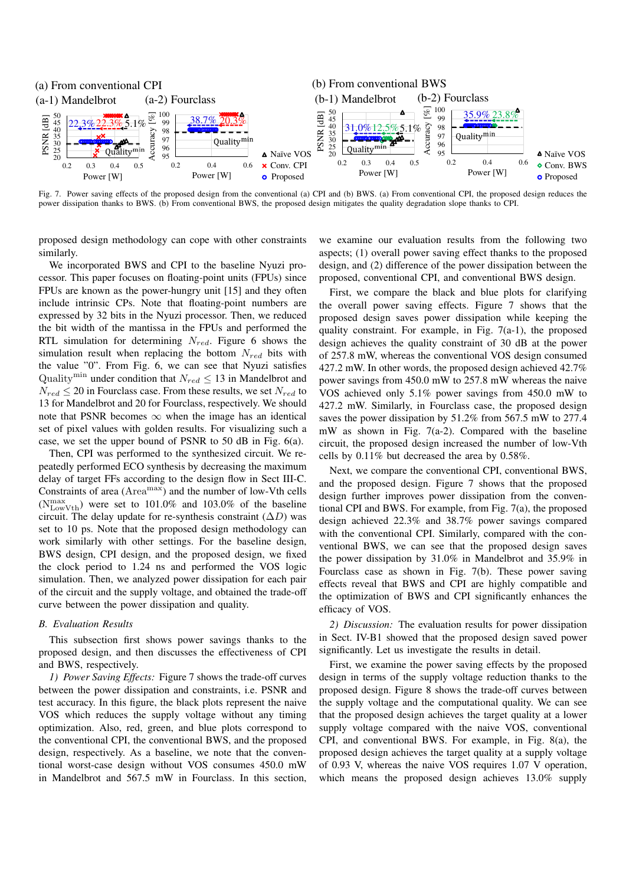

Fig. 7. Power saving effects of the proposed design from the conventional (a) CPI and (b) BWS. (a) From conventional CPI, the proposed design reduces the power dissipation thanks to BWS. (b) From conventional BWS, the proposed design mitigates the quality degradation slope thanks to CPI.

proposed design methodology can cope with other constraints similarly.

We incorporated BWS and CPI to the baseline Nyuzi processor. This paper focuses on floating-point units (FPUs) since FPUs are known as the power-hungry unit [15] and they often include intrinsic CPs. Note that floating-point numbers are expressed by 32 bits in the Nyuzi processor. Then, we reduced the bit width of the mantissa in the FPUs and performed the RTL simulation for determining  $N_{red}$ . Figure 6 shows the simulation result when replacing the bottom  $N_{red}$  bits with the value "0". From Fig. 6, we can see that Nyuzi satisfies Quality<sup>min</sup> under condition that  $N_{red} \leq 13$  in Mandelbrot and  $N_{red} \leq 20$  in Fourclass case. From these results, we set  $N_{red}$  to 13 for Mandelbrot and 20 for Fourclass, respectively. We should note that PSNR becomes  $\infty$  when the image has an identical set of pixel values with golden results. For visualizing such a case, we set the upper bound of PSNR to 50 dB in Fig. 6(a).

Then, CPI was performed to the synthesized circuit. We repeatedly performed ECO synthesis by decreasing the maximum delay of target FFs according to the design flow in Sect III-C. Constraints of area (Area<sup>max</sup>) and the number of low-Vth cells  $(N_{\text{LowVth}}^{\text{max}})$  were set to 101.0% and 103.0% of the baseline circuit. The delay update for re-synthesis constraint  $(\Delta D)$  was set to 10 ps. Note that the proposed design methodology can work similarly with other settings. For the baseline design, BWS design, CPI design, and the proposed design, we fixed the clock period to 1.24 ns and performed the VOS logic simulation. Then, we analyzed power dissipation for each pair of the circuit and the supply voltage, and obtained the trade-off curve between the power dissipation and quality.

#### *B. Evaluation Results*

This subsection first shows power savings thanks to the proposed design, and then discusses the effectiveness of CPI and BWS, respectively.

*1) Power Saving Effects:* Figure 7 shows the trade-off curves between the power dissipation and constraints, i.e. PSNR and test accuracy. In this figure, the black plots represent the naive VOS which reduces the supply voltage without any timing optimization. Also, red, green, and blue plots correspond to the conventional CPI, the conventional BWS, and the proposed design, respectively. As a baseline, we note that the conventional worst-case design without VOS consumes 450.0 mW in Mandelbrot and 567.5 mW in Fourclass. In this section, we examine our evaluation results from the following two aspects; (1) overall power saving effect thanks to the proposed design, and (2) difference of the power dissipation between the proposed, conventional CPI, and conventional BWS design.

First, we compare the black and blue plots for clarifying the overall power saving effects. Figure 7 shows that the proposed design saves power dissipation while keeping the quality constraint. For example, in Fig.  $7(a-1)$ , the proposed design achieves the quality constraint of 30 dB at the power of 257.8 mW, whereas the conventional VOS design consumed 427.2 mW. In other words, the proposed design achieved 42.7% power savings from 450.0 mW to 257.8 mW whereas the naive VOS achieved only 5.1% power savings from 450.0 mW to 427.2 mW. Similarly, in Fourclass case, the proposed design saves the power dissipation by 51.2% from 567.5 mW to 277.4 mW as shown in Fig. 7(a-2). Compared with the baseline circuit, the proposed design increased the number of low-Vth cells by 0.11% but decreased the area by 0.58%.

Next, we compare the conventional CPI, conventional BWS, and the proposed design. Figure 7 shows that the proposed design further improves power dissipation from the conventional CPI and BWS. For example, from Fig. 7(a), the proposed design achieved 22.3% and 38.7% power savings compared with the conventional CPI. Similarly, compared with the conventional BWS, we can see that the proposed design saves the power dissipation by 31.0% in Mandelbrot and 35.9% in Fourclass case as shown in Fig. 7(b). These power saving effects reveal that BWS and CPI are highly compatible and the optimization of BWS and CPI significantly enhances the efficacy of VOS.

*2) Discussion:* The evaluation results for power dissipation in Sect. IV-B1 showed that the proposed design saved power significantly. Let us investigate the results in detail.

First, we examine the power saving effects by the proposed design in terms of the supply voltage reduction thanks to the proposed design. Figure 8 shows the trade-off curves between the supply voltage and the computational quality. We can see that the proposed design achieves the target quality at a lower supply voltage compared with the naive VOS, conventional CPI, and conventional BWS. For example, in Fig. 8(a), the proposed design achieves the target quality at a supply voltage of 0.93 V, whereas the naive VOS requires 1.07 V operation, which means the proposed design achieves 13.0% supply